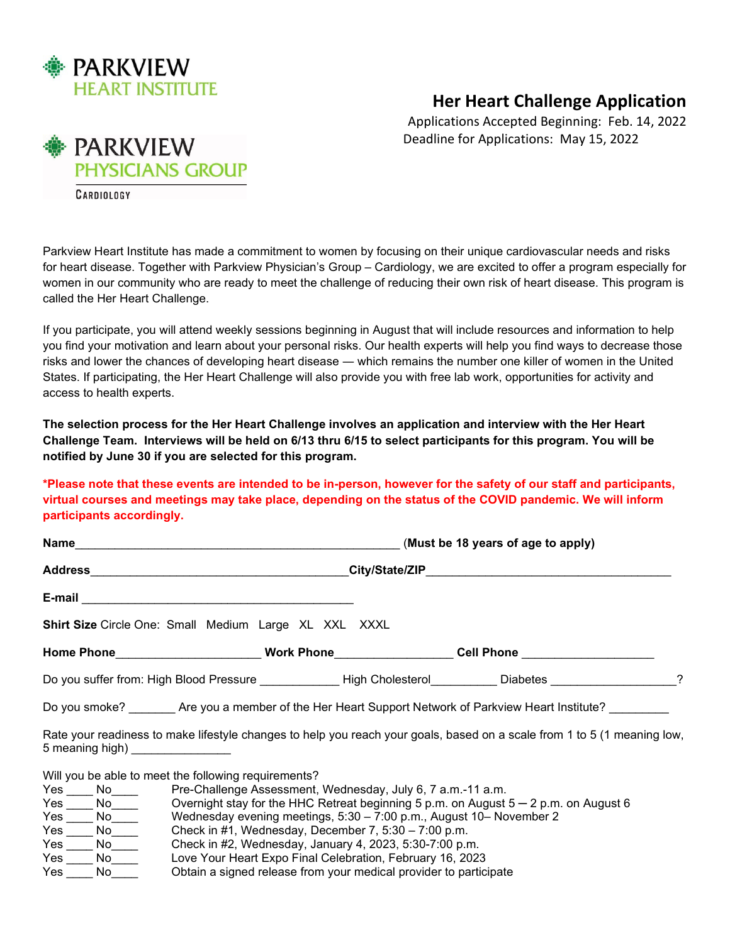

## **Her Heart Challenge Application**

Applications Accepted Beginning: Feb. 14, 2022 Deadline for Applications: May 15, 2022

**PARKVIEW PHYSICIANS GROUP** CARDIOLOGY

Parkview Heart Institute has made a commitment to women by focusing on their unique cardiovascular needs and risks for heart disease. Together with Parkview Physician's Group – Cardiology, we are excited to offer a program especially for women in our community who are ready to meet the challenge of reducing their own risk of heart disease. This program is called the Her Heart Challenge.

If you participate, you will attend weekly sessions beginning in August that will include resources and information to help you find your motivation and learn about your personal risks. Our health experts will help you find ways to decrease those risks and lower the chances of developing heart disease ― which remains the number one killer of women in the United States. If participating, the Her Heart Challenge will also provide you with free lab work, opportunities for activity and access to health experts.

**The selection process for the Her Heart Challenge involves an application and interview with the Her Heart Challenge Team. Interviews will be held on 6/13 thru 6/15 to select participants for this program. You will be notified by June 30 if you are selected for this program.**

## **\*Please note that these events are intended to be in-person, however for the safety of our staff and participants, virtual courses and meetings may take place, depending on the status of the COVID pandemic. We will inform participants accordingly.**

| Name Mame and the contract of the contract of the contract of the contract of the contract of the contract of the contract of the contract of the contract of the contract of the contract of the contract of the contract of | (Must be 18 years of age to apply)                                                                                       |
|-------------------------------------------------------------------------------------------------------------------------------------------------------------------------------------------------------------------------------|--------------------------------------------------------------------------------------------------------------------------|
|                                                                                                                                                                                                                               |                                                                                                                          |
|                                                                                                                                                                                                                               |                                                                                                                          |
| <b>Shirt Size</b> Circle One: Small Medium Large XL XXL XXXL                                                                                                                                                                  |                                                                                                                          |
|                                                                                                                                                                                                                               | Home Phone_________________________Work Phone__________________Cell Phone _________________________                      |
|                                                                                                                                                                                                                               | Do you suffer from: High Blood Pressure <b>Example 2 High Cholesterol Charles Example 2</b> Diabetes 2 2                 |
|                                                                                                                                                                                                                               | Do you smoke? ________Are you a member of the Her Heart Support Network of Parkview Heart Institute?                     |
| 5 meaning high)                                                                                                                                                                                                               | Rate your readiness to make lifestyle changes to help you reach your goals, based on a scale from 1 to 5 (1 meaning low, |
| Will you be able to meet the following requirements?                                                                                                                                                                          |                                                                                                                          |
| Yes _____ No____________ Pre-Challenge Assessment, Wednesday, July 6, 7 a.m.-11 a.m.                                                                                                                                          |                                                                                                                          |
| Yes $\overline{\phantom{a}}$ No $\overline{\phantom{a}}$ Overnight stay for the HHC Retreat beginning 5 p.m. on August 5 – 2 p.m. on August 6                                                                                 |                                                                                                                          |
| Yes ____ No____ Wednesday evening meetings, 5:30 - 7:00 p.m., August 10- November 2                                                                                                                                           |                                                                                                                          |
| Yes ____ No_____ Check in #1, Wednesday, December 7, 5:30 - 7:00 p.m.                                                                                                                                                         |                                                                                                                          |
| Yes ____ No____ Check in #2, Wednesday, January 4, 2023, 5:30-7:00 p.m.<br>$V_{\alpha\alpha}$<br>$N_{\rm A}$                                                                                                                  | Loug Vous Hoost Evro Final Colobration, Eabruary 16, 2002                                                                |

Yes \_\_\_\_ No\_\_\_\_ Love Your Heart Expo Final Celebration, February 16, 2023<br>Yes \_\_\_\_ No\_\_\_\_ Obtain a signed release from your medical provider to partic Obtain a signed release from your medical provider to participate